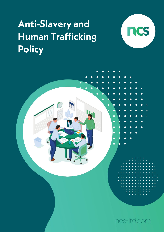# **Anti-Slavery and Human Trafficking Policy**



ncs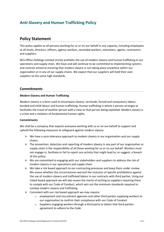# **Anti-Slavery and Human Trafficking Policy**

## **Policy Statement**

This policy applies to all persons working for us or on our behalf in any capacity, including employees at all levels, directors, officers, agency workers, seconded workers, volunteers, agents, contractors and suppliers.

NCS Office Holdings Limited strictly prohibits the use of modern slavery and human trafficking in our operations and supply chain. We have and will continue to be committed to implementing systems and controls aimed at ensuring that modern slavery is not taking place anywhere within our organisation or in any of our supply chains. We expect that our suppliers will hold their own suppliers to the same high standards.

### **Commitments**

#### **Modern Slavery and Human Trafficking**

Modern slavery is a term used to encompass slavery, servitude, forced and compulsory labour, bonded and child labour and human trafficking. Human trafficking is where a person arranges or facilitates the travel of another person with a view to that person being exploited. Modern slavery is a crime and a violation of fundamental human rights.

#### **Commitments**

We shall be a company that expects everyone working with us or on our behalf to support and uphold the following measures to safeguard against modern slavery:

- $\triangleright$  We have a zero-tolerance approach to modern slavery in our organisation and our supply chains.
- $\triangleright$  The prevention, detection and reporting of modern slavery in any part of our organisation or supply chain is the responsibility of all those working for us or on our behalf. Workers must not engage in, facilitate or fail to report any activity that might lead to, or suggest, a breach of this policy.
- $\triangleright$  We are committed to engaging with our stakeholders and suppliers to address the risk of modern slavery in our operations and supply chain.
- $\triangleright$  We take a risk based approach to our contracting processes and keep them under review. We assess whether the circumstances warrant the inclusion of specific prohibitions against the use of modern slavery and trafficked labour in our contracts with third parties. Using our risked based approach we will also assess the merits of writing to suppliers requiring them to comply with our Code of Conduct, which sets out the minimum standards required to combat modern slavery and trafficking.
- $\triangleright$  Consistent with our risk based approach we may require:
	- $\circ$  employment and recruitment agencies and other third parties supplying workers to our organisation to confirm their compliance with our Code of Conduct
	- o Suppliers engaging workers through a third party to obtain that third parties' agreement to adhere to the Code